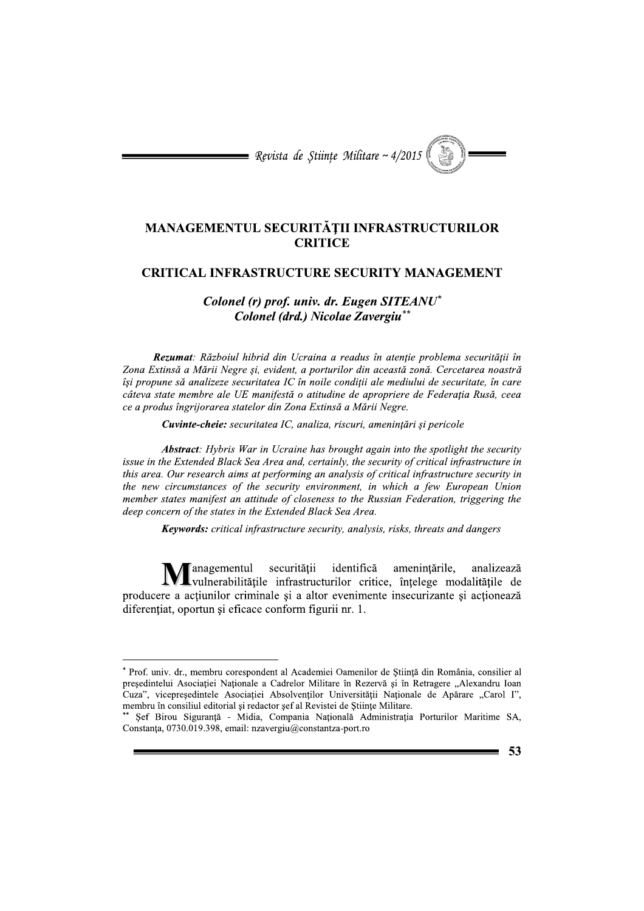= Revista de Stiințe Militare ~  $4/2015$ 

## MANAGEMENTUL SECURITĂȚII INFRASTRUCTURILOR **CRITICE**

## **CRITICAL INFRASTRUCTURE SECURITY MANAGEMENT**

## Colonel (r) prof. univ. dr. Eugen SITEANU\* Colonel (drd.) Nicolae Zavergiu\*\*

Rezumat: Războiul hibrid din Ucraina a readus în atenție problema securității în Zona Extinsă a Mării Negre și, evident, a porturilor din această zonă. Cercetarea noastră își propune să analizeze securitatea IC în noile condiții ale mediului de securitate, în care câteva state membre ale UE manifestă o atitudine de apropriere de Federația Rusă, ceea ce a produs îngrijorarea statelor din Zona Extinsă a Mării Negre.

Cuvinte-cheie: securitatea IC, analiza, riscuri, amenințări și pericole

**Abstract**: Hybris War in Ucraine has brought again into the spotlight the security issue in the Extended Black Sea Area and, certainly, the security of critical infrastructure in this area. Our research aims at performing an analysis of critical infrastructure security in the new circumstances of the security environment, in which a few European Union member states manifest an attitude of closeness to the Russian Federation, triggering the deep concern of the states in the Extended Black Sea Area.

**Keywords:** critical infrastructure security, analysis, risks, threats and dangers

anagementul securității identifică amenințările, analizează vulnerabilitățile infrastructurilor critice, înțelege modalitățile de producere a actiunilor criminale si a altor evenimente insecurizante si actionează diferențiat, oportun și eficace conform figurii nr. 1.

<sup>\*</sup> Prof. univ. dr., membru corespondent al Academiei Oamenilor de Stiintă din România, consilier al presedintelui Asociației Naționale a Cadrelor Militare în Rezervă și în Retragere "Alexandru Ioan Cuza", vicepresedintele Asociatiei Absolventilor Universității Naționale de Apărare "Carol I", membru în consiliul editorial și redactor șef al Revistei de Stiințe Militare.

Șef Birou Siguranță - Midia, Compania Națională Administrația Porturilor Maritime SA, Constanța, 0730.019.398, email: nzavergiu@constantza-port.ro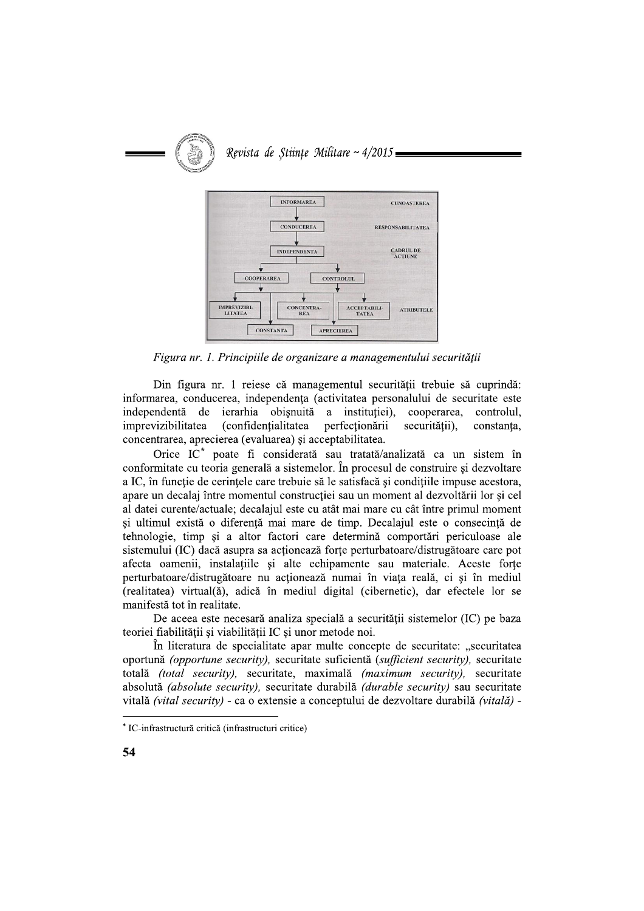

Figura nr. 1. Principiile de organizare a managementului securității

Din figura nr. 1 reiese că managementul securității trebuie să cuprindă: informarea, conducerea, independența (activitatea personalului de securitate este independentă de ierarhia obisnuită a institutiei). cooperarea. controlul. imprevizibilitatea (confidentialitatea perfectionării securității), constanta, concentrarea, aprecierea (evaluarea) și acceptabilitatea.

Orice IC<sup>\*</sup> poate fi considerată sau tratată/analizată ca un sistem în conformitate cu teoria generală a sistemelor. În procesul de construire și dezvoltare a IC, în functie de cerintele care trebuie să le satisfacă și conditiile impuse acestora, apare un decalaj între momentul constructiei sau un moment al dezvoltării lor si cel al datei curente/actuale; decalajul este cu atât mai mare cu cât între primul moment si ultimul există o diferentă mai mare de timp. Decalajul este o consecintă de tehnologie, timp și a altor factori care determină comportări periculoase ale sistemului (IC) dacă asupra sa acționează forțe perturbatoare/distrugătoare care pot afecta oamenii, instalațiile și alte echipamente sau materiale. Aceste forțe perturbatoare/distrugătoare nu acționează numai în viața reală, ci și în mediul (realitatea) virtual(ă), adică în mediul digital (cibernetic), dar efectele lor se manifestă tot în realitate.

De aceea este necesară analiza specială a securității sistemelor (IC) pe baza teoriei fiabilității și viabilității IC și unor metode noi.

In literatura de specialitate apar multe concepte de securitate: "securitatea oportună (opportune security), securitate suficientă (sufficient security), securitate totală (total security), securitate, maximală (maximum security), securitate absolută (absolute security), securitate durabilă (durable security) sau securitate vitală (vital security) - ca o extensie a conceptului de dezvoltare durabilă (vitală) -

<sup>\*</sup> IC-infrastructură critică (infrastructuri critice)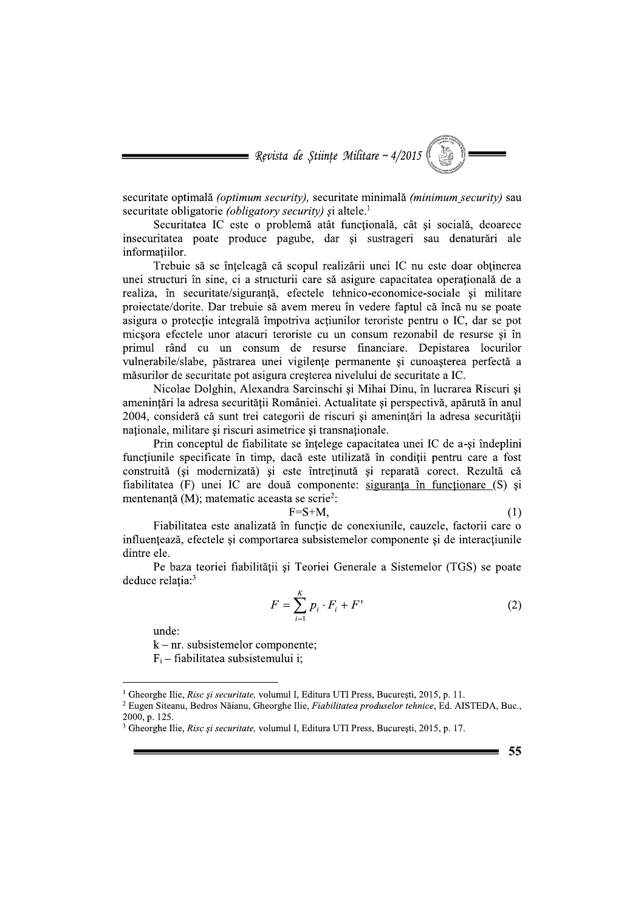= Revista de Științe Militare ~  $4/2015$ 

securitate optimală (optimum security), securitate minimală (minimum security) sau securitate obligatorie *(obligatory security)* și altele.<sup>1</sup>

Securitatea IC este o problemă atât funcțională, cât și socială, deoarece insecuritatea poate produce pagube, dar și sustrageri sau denaturări ale informatiilor.

Trebuie să se înțeleagă că scopul realizării unei IC nu este doar obținerea unei structuri în sine, ci a structurii care să asigure capacitatea operatională de a realiza, în securitate/siguranță, efectele tehnico-economice-sociale și militare proiectate/dorite. Dar trebuie să avem mereu în vedere faptul că încă nu se poate asigura o protecție integrală împotriva acțiunilor teroriste pentru o IC, dar se pot micsora efectele unor atacuri teroriste cu un consum rezonabil de resurse și în primul rând cu un consum de resurse financiare. Depistarea locurilor vulnerabile/slabe, păstrarea unei vigilențe permanente și cunoașterea perfectă a măsurilor de securitate pot asigura cresterea nivelului de securitate a IC.

Nicolae Dolghin, Alexandra Sarcinschi și Mihai Dinu, în lucrarea Riscuri și amenintări la adresa securității României. Actualitate și perspectivă, apărută în anul 2004, consideră că sunt trei categorii de riscuri și amenințări la adresa securității nationale, militare și riscuri asimetrice și transnaționale.

Prin conceptul de fiabilitate se înțelege capacitatea unei IC de a-și îndeplini funcțiunile specificate în timp, dacă este utilizată în condiții pentru care a fost construită (si modernizată) și este întretinută și reparată corect. Rezultă că fiabilitatea (F) unei IC are două componente: siguranța în funcționare (S) și mentenanță (M); matematic aceasta se scrie<sup>2</sup>:

$$
F = S + M,\tag{1}
$$

Fiabilitatea este analizată în funcție de conexiunile, cauzele, factorii care o influențează, efectele și comportarea subsistemelor componente și de interacțiunile dintre ele.

-F

Pe baza teoriei fiabilității și Teoriei Generale a Sistemelor (TGS) se poate deduce relația:<sup>3</sup>

$$
F = \sum_{i=1}^{K} p_i \cdot F_i + F' \tag{2}
$$

unde:

 $k - nr$ . subsistemelor componente;  $F_i$  – fiabilitatea subsistemului i:

55

<sup>&</sup>lt;sup>1</sup> Gheorghe Ilie, *Risc și securitate*, volumul I, Editura UTI Press, București, 2015, p. 11.

<sup>&</sup>lt;sup>2</sup> Eugen Siteanu, Bedros Năianu, Gheorghe Ilie, Fiabilitatea produselor tehnice, Ed. AISTEDA, Buc., 2000, p. 125.

<sup>&</sup>lt;sup>3</sup> Gheorghe Ilie, *Risc și securitate*, volumul I, Editura UTI Press, București, 2015, p. 17.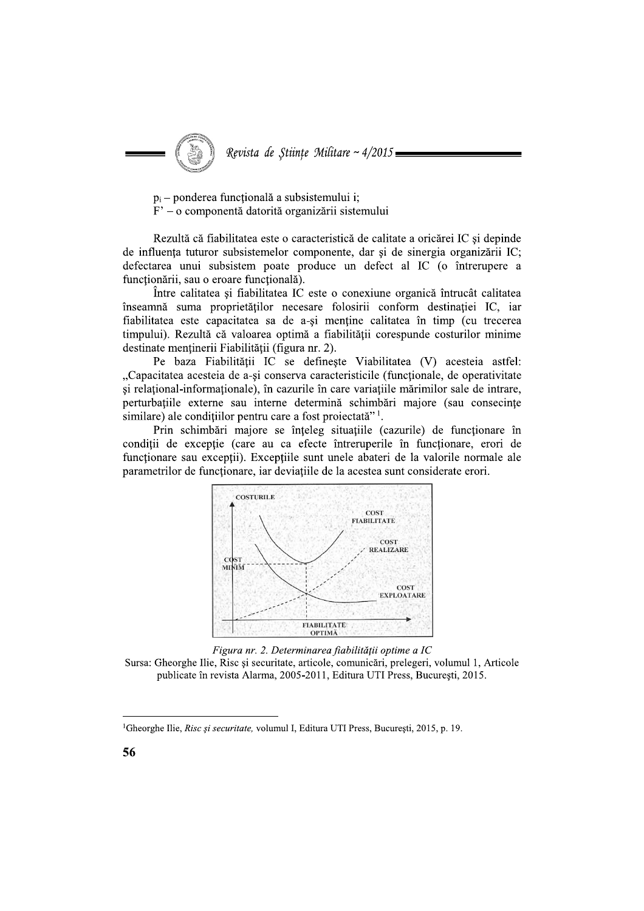Revista de Stiințe Militare ~ 4/2015

 $p_i$  – ponderea functională a subsistemului i;

 $F'$  – o componentă datorită organizării sistemului

Rezultă că fiabilitatea este o caracteristică de calitate a oricărei IC și depinde de influența tuturor subsistemelor componente, dar și de sinergia organizării IC; defectarea unui subsistem poate produce un defect al IC (o întrerupere a functionării, sau o eroare functională).

Între calitatea și fiabilitatea IC este o conexiune organică întrucât calitatea înseamnă suma proprietăților necesare folosirii conform destinației IC, iar fiabilitatea este capacitatea sa de a-și menține calitatea în timp (cu trecerea timpului). Rezultă că valoarea optimă a fiabilității corespunde costurilor minime destinate menținerii Fiabilității (figura nr. 2).

Pe baza Fiabilității IC se definește Viabilitatea (V) acesteia astfel: "Capacitatea acesteia de a-si conserva caracteristicile (functionale, de operativitate si relational-informationale), în cazurile în care variatiile mărimilor sale de intrare, perturbațiile externe sau interne determină schimbări majore (sau consecințe similare) ale conditiilor pentru care a fost projectată"<sup>1</sup>.

Prin schimbări majore se înțeleg situațiile (cazurile) de funcționare în condiții de excepție (care au ca efecte întreruperile în funcționare, erori de funcționare sau excepții). Excepțiile sunt unele abateri de la valorile normale ale parametrilor de functionare, iar deviatiile de la acestea sunt considerate erori.





Sursa: Gheorghe Ilie, Risc și securitate, articole, comunicări, prelegeri, volumul 1, Articole publicate în revista Alarma, 2005-2011, Editura UTI Press, București, 2015.

<sup>&</sup>lt;sup>1</sup>Gheorghe Ilie, Risc și securitate, volumul I, Editura UTI Press, București, 2015, p. 19.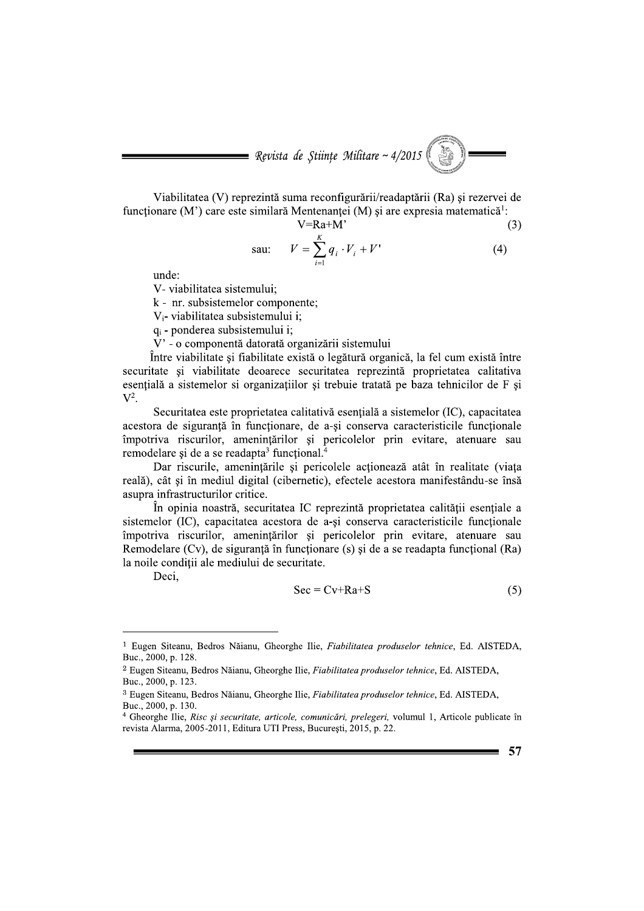Revista de Științe Militare ~ 4/2015<br>
llitatea (V) reprezintă suma reconfigurării/readaptării (Ra) și rez<br>
(M') care este similară Mentenanței (M) și are expresia matema<br>
V=Ra+M'<br>
sau:  $V = \sum_{i=1}^{K} q_i \cdot V_i + V'$ <br>
:<br>
abilitat Revista de Științe Militare ~ 4/2015<br>
abilitatea (V) reprezintă suma reconfigurării/readaptării (Ra) și rezer<br>
are (M') care este similară Mentenanței (M) și are expresia matematic<br>  $V=Ra+M'$ <br>
sau:  $V = \sum_{i=1}^{K} q_i \cdot V_i + V'$ <br> **Experience (V)**<br> **Experience (V)** reprezintă suma reconfigurării/readaptării (Ra) și rezervei de<br>
onare (M') care este similară Mentenanței (M) și are expresia matematică<sup>1</sup>:<br>  $V = Ra + M'$  (3)<br>
sau:  $V = \sum_{i=1}^{K} q_i \cdot V_i + V'$ 

Viabilitatea (V) reprezinta suma reconfigurarii/readaptarii (Ra) și rezervei de funcționare (M´) care este similara Mentenanței (M) și are expresia matem

prezintă suma reconfigurării/readaptării (Ra) și rezervei de similară Mentenanței (M) și are expresia matematică<sup>1</sup>:  
\n
$$
V=Ra+M' \t(3)
$$
\nsau: 
$$
V = \sum_{i=1}^{K} q_i \cdot V_i + V' \t(4)
$$
\nemului;  
\nlor componente;  
\nsistemului i;  
\nstemului i;

nta datorata organizarii sistemului

Revista de Științe Militare ~ 4/2015<br>
Wiabilitatea (V) reprezintă suma reconfigenării/readaptării (Ra) și rezervei de<br>
iuncționare (M) care este similară Mentenartei (M) și are expresia matematică!<br>
V=Ra+M'<br>
sau:  $V = \sum_{i=$ Intre viabilitate și fiabilitate exista o legatura organica, la fel cum exista intre securitate și viabilitate deoarece securitatea reprezintă proprietatea calitativa esențiala a sistemelor si organizațiilor și trebuie tratata pe baza tehnicilor de F și  $\mathbf{V}^2$ .

Securitatea este proprietatea calitativa esențiala a sistemelor (IC), capacitatea acestora de siguranță în funcționare, de a-și conserva caracteristicile funcționale impotriva riscurilor, amenințarilor și pericolelor prin evitare, atenuare sau remodelare și de a se readapta funcțional.<sup>4</sup>

Dar riscurile, amenințarile și pericolele acționează atat în realitate (viață reala), cat și în mediul digital (cibernetic), efectele acestora manifestandu-se însă asupra infrastructurilor critice.

In opinia noastra, securitatea IC reprezinta proprietatea calitații esențiale a sistemelor (IC), capacitatea acestora de a-și conserva caracteristicile funcționale impotriva riscurilor, amenințărilor și pericolelor prin evitare, atenuare sau Remodelare (Cv), de siguranța în funcționare (s) și de a se readapta funcțional (Ra) la noile condiții ale mediului de securitate.

Deci.

$$
Sec = Cv + Ra + S
$$
 (5)

 $\frac{1}{2}$  Eugen Siteanu, Bedros Năianu, Gheorghe Ilie, *Fiabilitatea produselor tehnice*, Ed. AISTEDA, Buc.,  $2000$ , p. 128.

<sup>&</sup>lt;sup>2</sup> Eugen Siteanu, Bedros Năianu, Gheorghe Ilie, *Fiabilitatea produselor tehnice*, Ed. AISTEDA, Buc., 2000, p. 123.

<sup>&</sup>lt;sup>3</sup> Eugen Siteanu, Bedros Năianu, Gheorghe Ilie, *Fiabilitatea produselor tehnice*, Ed. AISTEDA,

Buc., 2000, p. 130.<br><sup>4</sup> Gheorghe Ilie, *Risc și securitate, articole, comunicări, prelegeri, v*olumul 1, Articole publicate în revista Alarma, 2005-2011, Editura UTI Press, București, 2015, p. 22.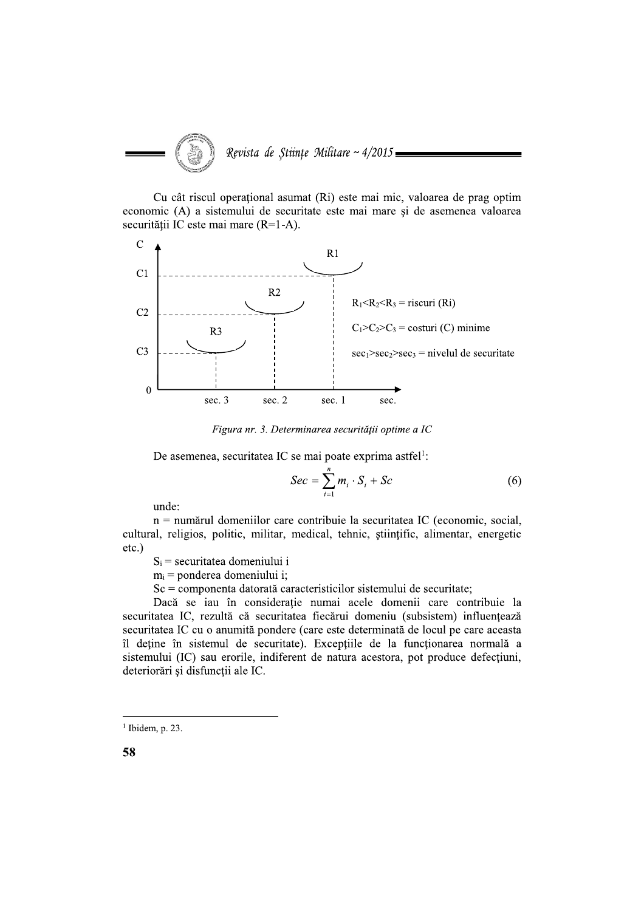

Cu cât riscul operational asumat (Ri) este mai mic, valoarea de prag optim economic (A) a sistemului de securitate este mai mare și de asemenea valoarea securității IC este mai mare (R=1-A).



Figura nr. 3. Determinarea securității optime a IC

De asemenea, securitatea IC se mai poate exprima astfel<sup>1</sup>:

$$
Sec = \sum_{i=1}^{n} m_i \cdot S_i + Sc \tag{6}
$$

unde:

n = numărul domeniilor care contribuie la securitatea IC (economic, social, cultural, religios, politic, militar, medical, tehnic, stiintific, alimentar, energetic  $etc.$ )

 $S_i$  = securitatea domeniului i

 $m_i$  = ponderea domeniului i;

 $Sc =$ componenta datorată caracteristicilor sistemului de securitate:

Dacă se iau în considerație numai acele domenii care contribuie la securitatea IC, rezultă că securitatea fiecărui domeniu (subsistem) influentează securitatea IC cu o anumită pondere (care este determinată de locul pe care aceasta îl deține în sistemul de securitate). Excepțiile de la funcționarea normală a sistemului (IC) sau erorile, indiferent de natura acestora, pot produce defecțiuni, deteriorări și disfuncții ale IC.

 $1$  Ibidem, p. 23.